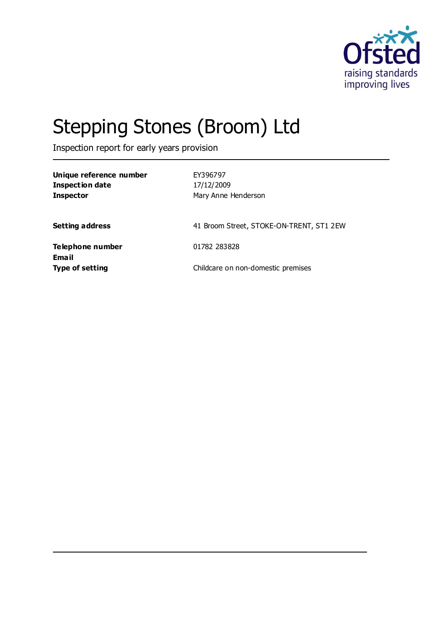

# Stepping Stones (Broom) Ltd

Inspection report for early years provision

| Unique reference number<br><b>Inspection date</b><br><b>Inspector</b> | EY396797<br>17/12/2009<br>Mary Anne Henderson |
|-----------------------------------------------------------------------|-----------------------------------------------|
| Setting address                                                       | 41 Broom Street, STOKE-ON-TRENT, ST1 2EW      |
| Telephone number<br>Email                                             | 01782 283828                                  |
| <b>Type of setting</b>                                                | Childcare on non-domestic premises            |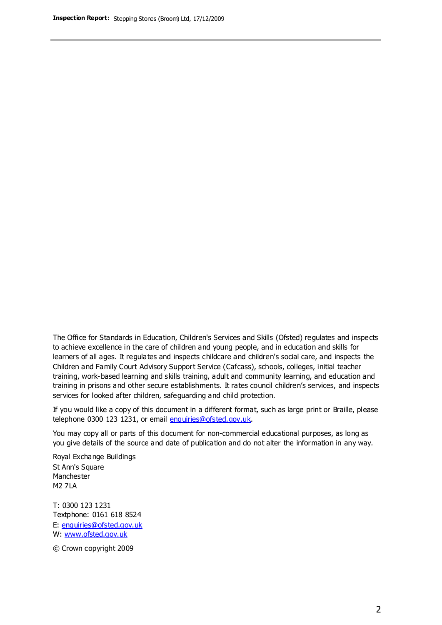The Office for Standards in Education, Children's Services and Skills (Ofsted) regulates and inspects to achieve excellence in the care of children and young people, and in education and skills for learners of all ages. It regulates and inspects childcare and children's social care, and inspects the Children and Family Court Advisory Support Service (Cafcass), schools, colleges, initial teacher training, work-based learning and skills training, adult and community learning, and education and training in prisons and other secure establishments. It rates council children's services, and inspects services for looked after children, safeguarding and child protection.

If you would like a copy of this document in a different format, such as large print or Braille, please telephone 0300 123 1231, or email enquiries@ofsted.gov.uk.

You may copy all or parts of this document for non-commercial educational purposes, as long as you give details of the source and date of publication and do not alter the information in any way.

Royal Exchange Buildings St Ann's Square Manchester M2 7LA

T: 0300 123 1231 Textphone: 0161 618 8524 E: enquiries@ofsted.gov.uk W: [www.ofsted.gov.uk](http://www.ofsted.gov.uk/)

© Crown copyright 2009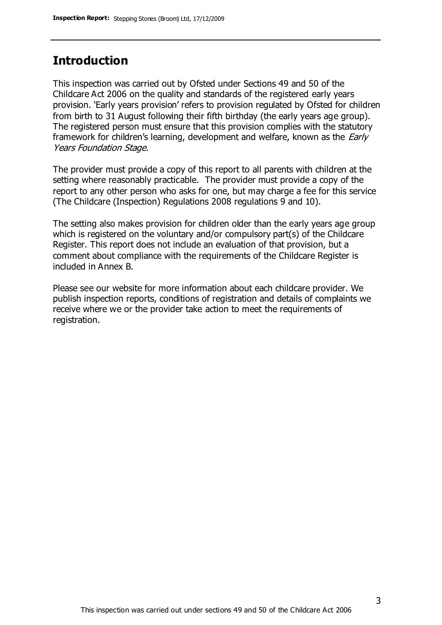## **Introduction**

This inspection was carried out by Ofsted under Sections 49 and 50 of the Childcare Act 2006 on the quality and standards of the registered early years provision. 'Early years provision' refers to provision regulated by Ofsted for children from birth to 31 August following their fifth birthday (the early years age group). The registered person must ensure that this provision complies with the statutory framework for children's learning, development and welfare, known as the *Early* Years Foundation Stage.

The provider must provide a copy of this report to all parents with children at the setting where reasonably practicable. The provider must provide a copy of the report to any other person who asks for one, but may charge a fee for this service (The Childcare (Inspection) Regulations 2008 regulations 9 and 10).

The setting also makes provision for children older than the early years age group which is registered on the voluntary and/or compulsory part(s) of the Childcare Register. This report does not include an evaluation of that provision, but a comment about compliance with the requirements of the Childcare Register is included in Annex B.

Please see our website for more information about each childcare provider. We publish inspection reports, conditions of registration and details of complaints we receive where we or the provider take action to meet the requirements of registration.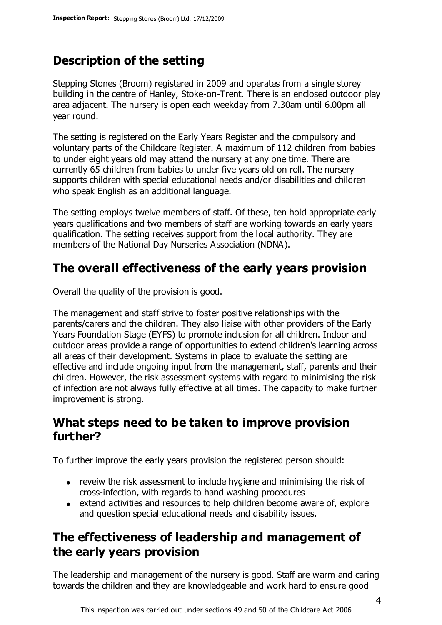# **Description of the setting**

Stepping Stones (Broom) registered in 2009 and operates from a single storey building in the centre of Hanley, Stoke-on-Trent. There is an enclosed outdoor play area adjacent. The nursery is open each weekday from 7.30am until 6.00pm all year round.

The setting is registered on the Early Years Register and the compulsory and voluntary parts of the Childcare Register. A maximum of 112 children from babies to under eight years old may attend the nursery at any one time. There are currently 65 children from babies to under five years old on roll. The nursery supports children with special educational needs and/or disabilities and children who speak English as an additional language.

The setting employs twelve members of staff. Of these, ten hold appropriate early years qualifications and two members of staff are working towards an early years qualification. The setting receives support from the local authority. They are members of the National Day Nurseries Association (NDNA).

## **The overall effectiveness of the early years provision**

Overall the quality of the provision is good.

The management and staff strive to foster positive relationships with the parents/carers and the children. They also liaise with other providers of the Early Years Foundation Stage (EYFS) to promote inclusion for all children. Indoor and outdoor areas provide a range of opportunities to extend children's learning across all areas of their development. Systems in place to evaluate the setting are effective and include ongoing input from the management, staff, parents and their children. However, the risk assessment systems with regard to minimising the risk of infection are not always fully effective at all times. The capacity to make further improvement is strong.

## **What steps need to be taken to improve provision further?**

To further improve the early years provision the registered person should:

- reveiw the risk assessment to include hygiene and minimising the risk of cross-infection, with regards to hand washing procedures
- extend activities and resources to help children become aware of, explore and question special educational needs and disability issues.

## **The effectiveness of leadership and management of the early years provision**

The leadership and management of the nursery is good. Staff are warm and caring towards the children and they are knowledgeable and work hard to ensure good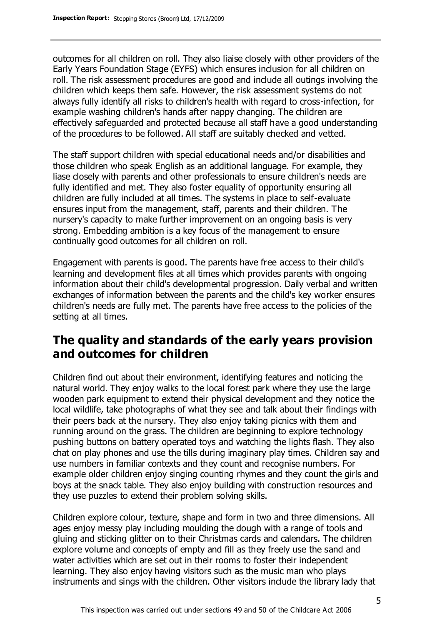outcomes for all children on roll. They also liaise closely with other providers of the Early Years Foundation Stage (EYFS) which ensures inclusion for all children on roll. The risk assessment procedures are good and include all outings involving the children which keeps them safe. However, the risk assessment systems do not always fully identify all risks to children's health with regard to cross-infection, for example washing children's hands after nappy changing. The children are effectively safeguarded and protected because all staff have a good understanding of the procedures to be followed. All staff are suitably checked and vetted.

The staff support children with special educational needs and/or disabilities and those children who speak English as an additional language. For example, they liase closely with parents and other professionals to ensure children's needs are fully identified and met. They also foster equality of opportunity ensuring all children are fully included at all times. The systems in place to self-evaluate ensures input from the management, staff, parents and their children. The nursery's capacity to make further improvement on an ongoing basis is very strong. Embedding ambition is a key focus of the management to ensure continually good outcomes for all children on roll.

Engagement with parents is good. The parents have free access to their child's learning and development files at all times which provides parents with ongoing information about their child's developmental progression. Daily verbal and written exchanges of information between the parents and the child's key worker ensures children's needs are fully met. The parents have free access to the policies of the setting at all times.

## **The quality and standards of the early years provision and outcomes for children**

Children find out about their environment, identifying features and noticing the natural world. They enjoy walks to the local forest park where they use the large wooden park equipment to extend their physical development and they notice the local wildlife, take photographs of what they see and talk about their findings with their peers back at the nursery. They also enjoy taking picnics with them and running around on the grass. The children are beginning to explore technology pushing buttons on battery operated toys and watching the lights flash. They also chat on play phones and use the tills during imaginary play times. Children say and use numbers in familiar contexts and they count and recognise numbers. For example older children enjoy singing counting rhymes and they count the girls and boys at the snack table. They also enjoy building with construction resources and they use puzzles to extend their problem solving skills.

Children explore colour, texture, shape and form in two and three dimensions. All ages enjoy messy play including moulding the dough with a range of tools and gluing and sticking glitter on to their Christmas cards and calendars. The children explore volume and concepts of empty and fill as they freely use the sand and water activities which are set out in their rooms to foster their independent learning. They also enjoy having visitors such as the music man who plays instruments and sings with the children. Other visitors include the library lady that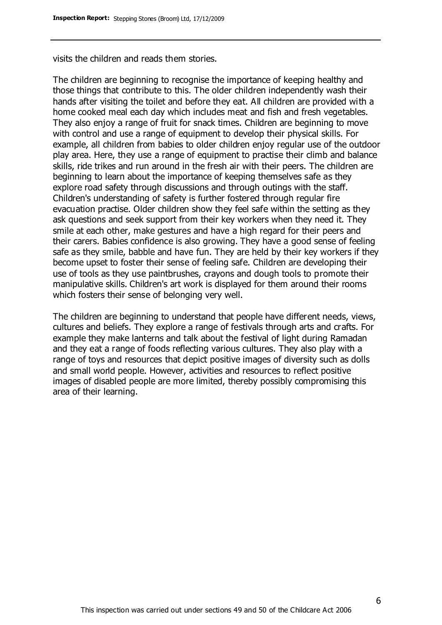visits the children and reads them stories.

The children are beginning to recognise the importance of keeping healthy and those things that contribute to this. The older children independently wash their hands after visiting the toilet and before they eat. All children are provided with a home cooked meal each day which includes meat and fish and fresh vegetables. They also enjoy a range of fruit for snack times. Children are beginning to move with control and use a range of equipment to develop their physical skills. For example, all children from babies to older children enjoy regular use of the outdoor play area. Here, they use a range of equipment to practise their climb and balance skills, ride trikes and run around in the fresh air with their peers. The children are beginning to learn about the importance of keeping themselves safe as they explore road safety through discussions and through outings with the staff. Children's understanding of safety is further fostered through regular fire evacuation practise. Older children show they feel safe within the setting as they ask questions and seek support from their key workers when they need it. They smile at each other, make gestures and have a high regard for their peers and their carers. Babies confidence is also growing. They have a good sense of feeling safe as they smile, babble and have fun. They are held by their key workers if they become upset to foster their sense of feeling safe. Children are developing their use of tools as they use paintbrushes, crayons and dough tools to promote their manipulative skills. Children's art work is displayed for them around their rooms which fosters their sense of belonging very well.

The children are beginning to understand that people have different needs, views, cultures and beliefs. They explore a range of festivals through arts and crafts. For example they make lanterns and talk about the festival of light during Ramadan and they eat a range of foods reflecting various cultures. They also play with a range of toys and resources that depict positive images of diversity such as dolls and small world people. However, activities and resources to reflect positive images of disabled people are more limited, thereby possibly compromising this area of their learning.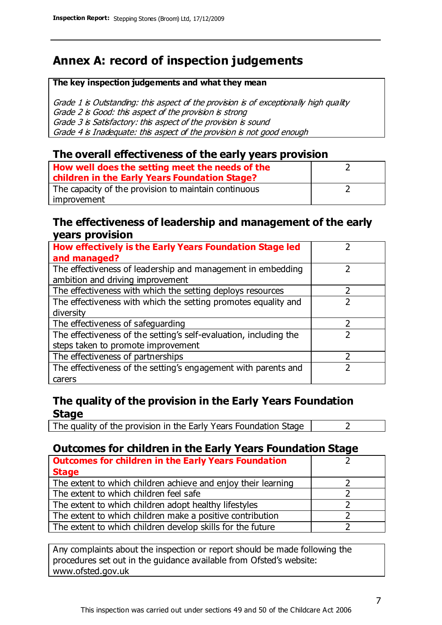# **Annex A: record of inspection judgements**

#### **The key inspection judgements and what they mean**

Grade 1 is Outstanding: this aspect of the provision is of exceptionally high quality Grade 2 is Good: this aspect of the provision is strong Grade 3 is Satisfactory: this aspect of the provision is sound Grade 4 is Inadequate: this aspect of the provision is not good enough

#### **The overall effectiveness of the early years provision**

| How well does the setting meet the needs of the<br>children in the Early Years Foundation Stage? |  |
|--------------------------------------------------------------------------------------------------|--|
| The capacity of the provision to maintain continuous                                             |  |
| improvement                                                                                      |  |

#### **The effectiveness of leadership and management of the early years provision**

| How effectively is the Early Years Foundation Stage led                                         |   |
|-------------------------------------------------------------------------------------------------|---|
| and managed?                                                                                    |   |
| The effectiveness of leadership and management in embedding<br>ambition and driving improvement |   |
|                                                                                                 |   |
| The effectiveness with which the setting deploys resources                                      |   |
| The effectiveness with which the setting promotes equality and                                  |   |
| diversity                                                                                       |   |
| The effectiveness of safeguarding                                                               | 2 |
| The effectiveness of the setting's self-evaluation, including the                               | 2 |
| steps taken to promote improvement                                                              |   |
| The effectiveness of partnerships                                                               |   |
| The effectiveness of the setting's engagement with parents and                                  |   |
| carers                                                                                          |   |

#### **The quality of the provision in the Early Years Foundation Stage**

The quality of the provision in the Early Years Foundation Stage  $\vert$  2

### **Outcomes for children in the Early Years Foundation Stage**

| <b>Outcomes for children in the Early Years Foundation</b>    |  |
|---------------------------------------------------------------|--|
| <b>Stage</b>                                                  |  |
| The extent to which children achieve and enjoy their learning |  |
| The extent to which children feel safe                        |  |
| The extent to which children adopt healthy lifestyles         |  |
| The extent to which children make a positive contribution     |  |
| The extent to which children develop skills for the future    |  |

Any complaints about the inspection or report should be made following the procedures set out in the guidance available from Ofsted's website: www.ofsted.gov.uk